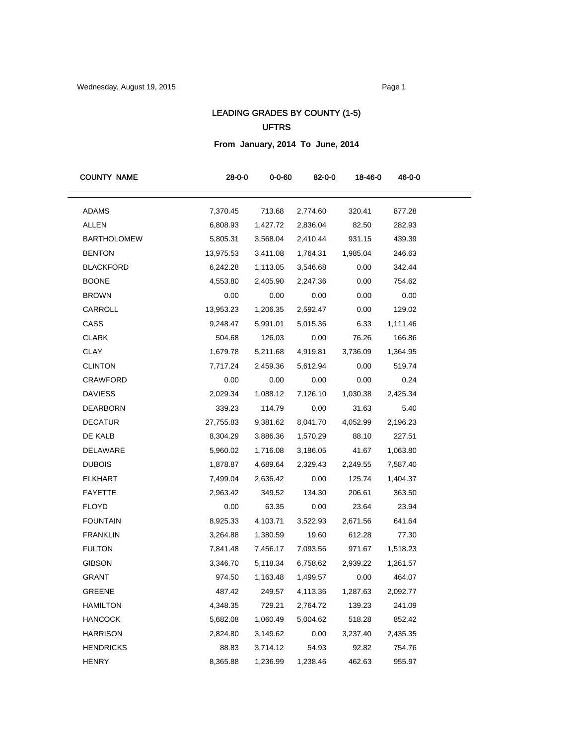# LEADING GRADES BY COUNTY (1-5) UFTRS

**From January, 2014 To June, 2014**

| <b>COUNTY NAME</b> | $28 - 0 - 0$ | $0 - 0 - 60$ | $82 - 0 - 0$    | 18-46-0  | 46-0-0   |
|--------------------|--------------|--------------|-----------------|----------|----------|
| <b>ADAMS</b>       | 7,370.45     | 713.68       | 2,774.60        | 320.41   | 877.28   |
| ALLEN              | 6,808.93     | 1,427.72     | 2,836.04        | 82.50    | 282.93   |
| <b>BARTHOLOMEW</b> | 5,805.31     | 3,568.04     | 2,410.44        | 931.15   | 439.39   |
| <b>BENTON</b>      | 13,975.53    | 3,411.08     | 1,764.31        | 1,985.04 | 246.63   |
| <b>BLACKFORD</b>   | 6,242.28     | 1,113.05     | 3,546.68        | 0.00     | 342.44   |
| <b>BOONE</b>       | 4,553.80     | 2,405.90     | 2,247.36        | 0.00     | 754.62   |
| <b>BROWN</b>       | 0.00         | 0.00         | 0.00            | 0.00     | 0.00     |
| CARROLL            | 13,953.23    | 1,206.35     | 2,592.47        | 0.00     | 129.02   |
| CASS               | 9,248.47     | 5,991.01     | 5,015.36        | 6.33     | 1,111.46 |
| <b>CLARK</b>       | 504.68       | 126.03       | 0.00            | 76.26    | 166.86   |
| CLAY               | 1,679.78     | 5,211.68     | 4,919.81        | 3,736.09 | 1,364.95 |
| <b>CLINTON</b>     | 7,717.24     | 2,459.36     | 5,612.94        | 0.00     | 519.74   |
| CRAWFORD           | 0.00         | 0.00         | 0.00            | 0.00     | 0.24     |
| <b>DAVIESS</b>     | 2,029.34     | 1,088.12     | 7,126.10        | 1,030.38 | 2,425.34 |
| <b>DEARBORN</b>    | 339.23       | 114.79       | 0.00            | 31.63    | 5.40     |
| <b>DECATUR</b>     | 27,755.83    | 9,381.62     | 8,041.70        | 4,052.99 | 2,196.23 |
| DE KALB            | 8,304.29     | 3,886.36     | 1,570.29        | 88.10    | 227.51   |
| DELAWARE           | 5,960.02     | 1,716.08     | 3,186.05        | 41.67    | 1,063.80 |
| <b>DUBOIS</b>      | 1,878.87     | 4,689.64     | 2,329.43        | 2,249.55 | 7,587.40 |
| <b>ELKHART</b>     | 7,499.04     | 2,636.42     | 0.00            | 125.74   | 1,404.37 |
| <b>FAYETTE</b>     | 2,963.42     | 349.52       | 134.30          | 206.61   | 363.50   |
| <b>FLOYD</b>       | 0.00         | 63.35        | 0.00            | 23.64    | 23.94    |
| <b>FOUNTAIN</b>    | 8,925.33     | 4,103.71     | 3,522.93        | 2,671.56 | 641.64   |
| <b>FRANKLIN</b>    | 3,264.88     | 1,380.59     | 19.60           | 612.28   | 77.30    |
| <b>FULTON</b>      | 7,841.48     | 7,456.17     | 7,093.56        | 971.67   | 1,518.23 |
| <b>GIBSON</b>      | 3,346.70     | 5,118.34     | 6,758.62        | 2,939.22 | 1,261.57 |
| <b>GRANT</b>       | 974.50       | 1,163.48     | 1,499.57        | 0.00     | 464.07   |
| GREENE             | 487.42       |              | 249.57 4,113.36 | 1,287.63 | 2,092.77 |
| HAMILTON           | 4,348.35     | 729.21       | 2,764.72        | 139.23   | 241.09   |
| <b>HANCOCK</b>     | 5,682.08     | 1,060.49     | 5,004.62        | 518.28   | 852.42   |
| <b>HARRISON</b>    | 2,824.80     | 3,149.62     | 0.00            | 3,237.40 | 2,435.35 |
| <b>HENDRICKS</b>   | 88.83        | 3,714.12     | 54.93           | 92.82    | 754.76   |
| <b>HENRY</b>       | 8,365.88     | 1,236.99     | 1,238.46        | 462.63   | 955.97   |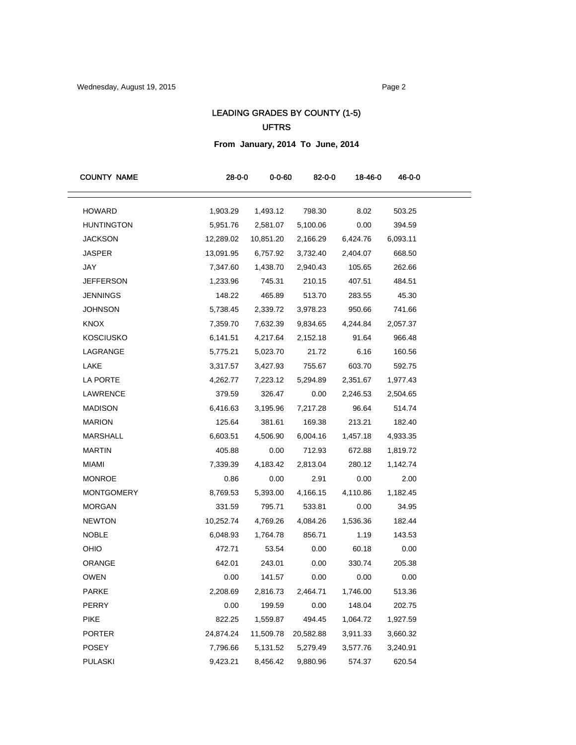# LEADING GRADES BY COUNTY (1-5) UFTRS

**From January, 2014 To June, 2014**

| <b>COUNTY NAME</b> | $28 - 0 - 0$ | $0 - 0 - 60$ | $82 - 0 - 0$ | 18-46-0  | 46-0-0   |
|--------------------|--------------|--------------|--------------|----------|----------|
| <b>HOWARD</b>      | 1,903.29     | 1,493.12     | 798.30       | 8.02     | 503.25   |
| <b>HUNTINGTON</b>  | 5,951.76     | 2,581.07     | 5,100.06     | 0.00     | 394.59   |
| <b>JACKSON</b>     | 12,289.02    | 10,851.20    | 2,166.29     | 6,424.76 | 6,093.11 |
| <b>JASPER</b>      | 13,091.95    | 6,757.92     | 3,732.40     | 2,404.07 | 668.50   |
| JAY                | 7,347.60     | 1,438.70     | 2,940.43     | 105.65   | 262.66   |
| <b>JEFFERSON</b>   | 1,233.96     | 745.31       | 210.15       | 407.51   | 484.51   |
| <b>JENNINGS</b>    | 148.22       | 465.89       | 513.70       | 283.55   | 45.30    |
| <b>JOHNSON</b>     | 5,738.45     | 2,339.72     | 3,978.23     | 950.66   | 741.66   |
| <b>KNOX</b>        | 7,359.70     | 7,632.39     | 9,834.65     | 4,244.84 | 2,057.37 |
| <b>KOSCIUSKO</b>   | 6,141.51     | 4,217.64     | 2,152.18     | 91.64    | 966.48   |
| LAGRANGE           | 5,775.21     | 5,023.70     | 21.72        | 6.16     | 160.56   |
| LAKE               | 3,317.57     | 3,427.93     | 755.67       | 603.70   | 592.75   |
| LA PORTE           | 4,262.77     | 7,223.12     | 5,294.89     | 2,351.67 | 1,977.43 |
| LAWRENCE           | 379.59       | 326.47       | 0.00         | 2,246.53 | 2,504.65 |
| <b>MADISON</b>     | 6,416.63     | 3,195.96     | 7,217.28     | 96.64    | 514.74   |
| <b>MARION</b>      | 125.64       | 381.61       | 169.38       | 213.21   | 182.40   |
| <b>MARSHALL</b>    | 6,603.51     | 4,506.90     | 6,004.16     | 1,457.18 | 4,933.35 |
| <b>MARTIN</b>      | 405.88       | 0.00         | 712.93       | 672.88   | 1,819.72 |
| <b>MIAMI</b>       | 7,339.39     | 4,183.42     | 2,813.04     | 280.12   | 1,142.74 |
| <b>MONROE</b>      | 0.86         | 0.00         | 2.91         | 0.00     | 2.00     |
| <b>MONTGOMERY</b>  | 8,769.53     | 5,393.00     | 4,166.15     | 4,110.86 | 1,182.45 |
| <b>MORGAN</b>      | 331.59       | 795.71       | 533.81       | 0.00     | 34.95    |
| <b>NEWTON</b>      | 10,252.74    | 4,769.26     | 4,084.26     | 1,536.36 | 182.44   |
| <b>NOBLE</b>       | 6,048.93     | 1,764.78     | 856.71       | 1.19     | 143.53   |
| OHIO               | 472.71       | 53.54        | 0.00         | 60.18    | 0.00     |
| ORANGE             | 642.01       | 243.01       | 0.00         | 330.74   | 205.38   |
| <b>OWEN</b>        | 0.00         | 141.57       | 0.00         | 0.00     | 0.00     |
| <b>PARKE</b>       | 2,208.69     | 2,816.73     | 2,464.71     | 1,746.00 | 513.36   |
| PERRY              | 0.00         | 199.59       | 0.00         | 148.04   | 202.75   |
| <b>PIKE</b>        | 822.25       | 1,559.87     | 494.45       | 1,064.72 | 1,927.59 |
| <b>PORTER</b>      | 24,874.24    | 11,509.78    | 20,582.88    | 3,911.33 | 3,660.32 |
| POSEY              | 7,796.66     | 5,131.52     | 5,279.49     | 3,577.76 | 3,240.91 |
| <b>PULASKI</b>     | 9,423.21     | 8,456.42     | 9,880.96     | 574.37   | 620.54   |